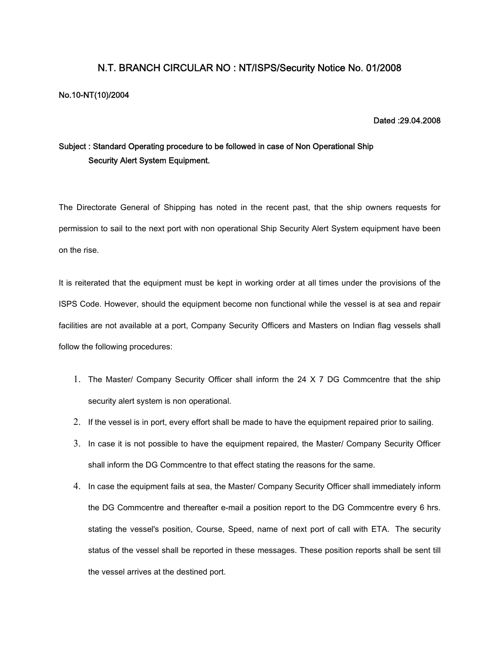## **N.T. BRANCH CIRCULAR NO : NT/ISPS/Security Notice No. 01/2008**

#### **No.10-NT(10)/2004**

#### **Dated :29.04.2008**

# **Subject : Standard Operating procedure to be followed in case of Non Operational Ship Security Alert System Equipment.**

The Directorate General of Shipping has noted in the recent past, that the ship owners requests for permission to sail to the next port with non operational Ship Security Alert System equipment have been on the rise.

It is reiterated that the equipment must be kept in working order at all times under the provisions of the ISPS Code. However, should the equipment become non functional while the vessel is at sea and repair facilities are not available at a port, Company Security Officers and Masters on Indian flag vessels shall follow the following procedures:

- 1. The Master/ Company Security Officer shall inform the 24 X 7 DG Commcentre that the ship security alert system is non operational.
- 2. If the vessel is in port, every effort shall be made to have the equipment repaired prior to sailing.
- 3. In case it is not possible to have the equipment repaired, the Master/ Company Security Officer shall inform the DG Commcentre to that effect stating the reasons for the same.
- 4. In case the equipment fails at sea, the Master/ Company Security Officer shall immediately inform the DG Commcentre and thereafter e-mail a position report to the DG Commcentre every 6 hrs. stating the vessel's position, Course, Speed, name of next port of call with ETA. The security status of the vessel shall be reported in these messages. These position reports shall be sent till the vessel arrives at the destined port.